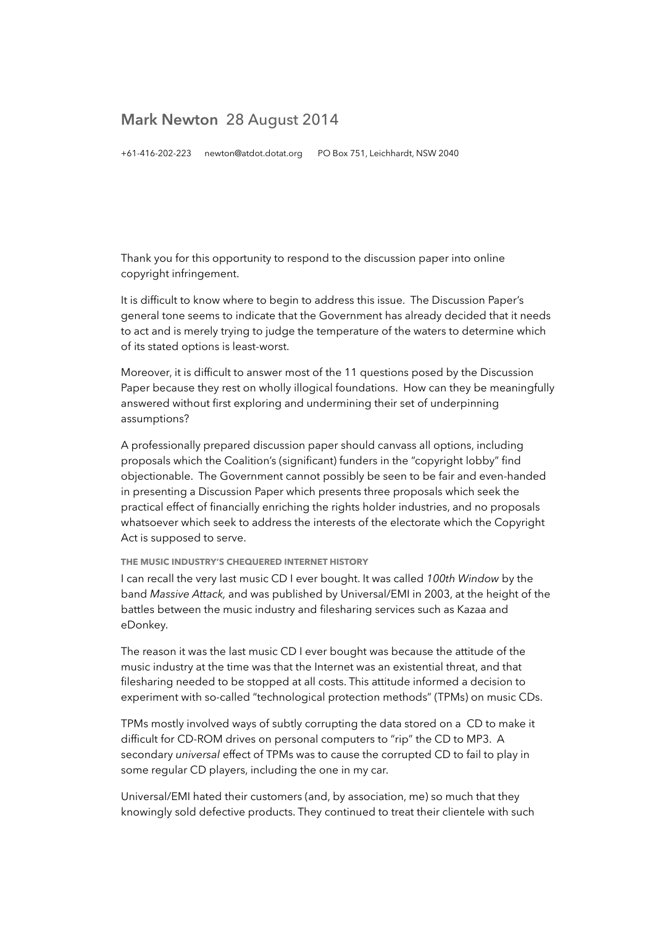# **Mark Newton** 28 August 2014

+61-416-202-223 newton@atdot.dotat.org PO Box 751, Leichhardt, NSW 2040

Thank you for this opportunity to respond to the discussion paper into online copyright infringement.

It is difficult to know where to begin to address this issue. The Discussion Paper's general tone seems to indicate that the Government has already decided that it needs to act and is merely trying to judge the temperature of the waters to determine which of its stated options is least-worst.

Moreover, it is difficult to answer most of the 11 questions posed by the Discussion Paper because they rest on wholly illogical foundations. How can they be meaningfully answered without first exploring and undermining their set of underpinning assumptions?

A professionally prepared discussion paper should canvass all options, including proposals which the Coalition's (significant) funders in the "copyright lobby" find objectionable. The Government cannot possibly be seen to be fair and even-handed in presenting a Discussion Paper which presents three proposals which seek the practical effect of financially enriching the rights holder industries, and no proposals whatsoever which seek to address the interests of the electorate which the Copyright Act is supposed to serve.

# **THE MUSIC INDUSTRY'S CHEQUERED INTERNET HISTORY**

I can recall the very last music CD I ever bought. It was called *100th Window* by the band *Massive Attack,* and was published by Universal/EMI in 2003, at the height of the battles between the music industry and filesharing services such as Kazaa and eDonkey.

The reason it was the last music CD I ever bought was because the attitude of the music industry at the time was that the Internet was an existential threat, and that filesharing needed to be stopped at all costs. This attitude informed a decision to experiment with so-called "technological protection methods" (TPMs) on music CDs.

TPMs mostly involved ways of subtly corrupting the data stored on a CD to make it difficult for CD-ROM drives on personal computers to "rip" the CD to MP3. A secondary *universal* effect of TPMs was to cause the corrupted CD to fail to play in some regular CD players, including the one in my car.

Universal/EMI hated their customers (and, by association, me) so much that they knowingly sold defective products. They continued to treat their clientele with such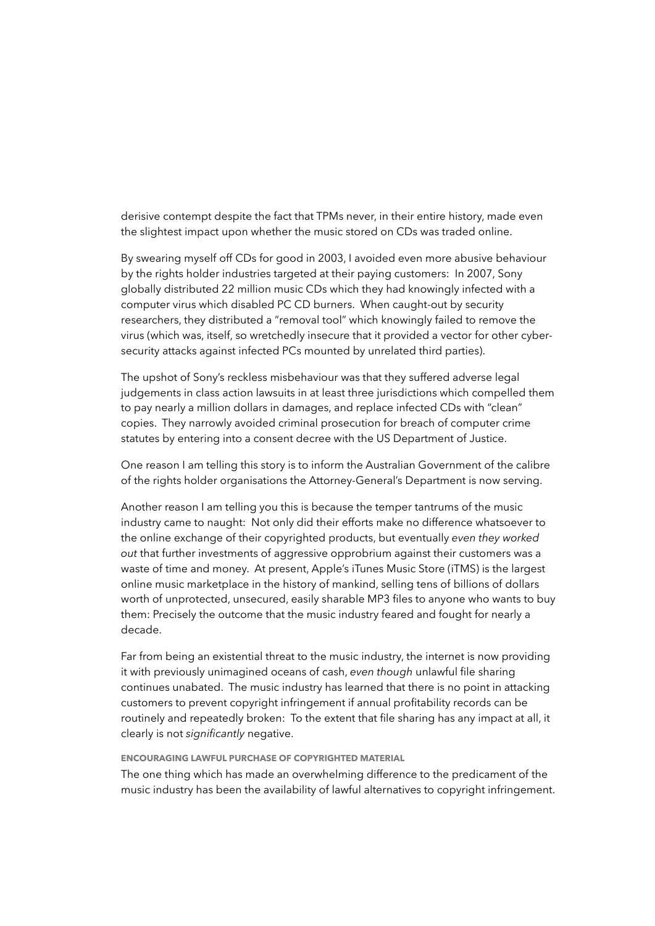derisive contempt despite the fact that TPMs never, in their entire history, made even the slightest impact upon whether the music stored on CDs was traded online.

By swearing myself off CDs for good in 2003, I avoided even more abusive behaviour by the rights holder industries targeted at their paying customers: In 2007, Sony globally distributed 22 million music CDs which they had knowingly infected with a computer virus which disabled PC CD burners. When caught-out by security researchers, they distributed a "removal tool" which knowingly failed to remove the virus (which was, itself, so wretchedly insecure that it provided a vector for other cybersecurity attacks against infected PCs mounted by unrelated third parties).

The upshot of Sony's reckless misbehaviour was that they suffered adverse legal judgements in class action lawsuits in at least three jurisdictions which compelled them to pay nearly a million dollars in damages, and replace infected CDs with "clean" copies. They narrowly avoided criminal prosecution for breach of computer crime statutes by entering into a consent decree with the US Department of Justice.

One reason I am telling this story is to inform the Australian Government of the calibre of the rights holder organisations the Attorney-General's Department is now serving.

Another reason I am telling you this is because the temper tantrums of the music industry came to naught: Not only did their efforts make no difference whatsoever to the online exchange of their copyrighted products, but eventually *even they worked out* that further investments of aggressive opprobrium against their customers was a waste of time and money. At present, Apple's iTunes Music Store (iTMS) is the largest online music marketplace in the history of mankind, selling tens of billions of dollars worth of unprotected, unsecured, easily sharable MP3 files to anyone who wants to buy them: Precisely the outcome that the music industry feared and fought for nearly a decade.

Far from being an existential threat to the music industry, the internet is now providing it with previously unimagined oceans of cash, *even though* unlawful file sharing continues unabated. The music industry has learned that there is no point in attacking customers to prevent copyright infringement if annual profitability records can be routinely and repeatedly broken: To the extent that file sharing has any impact at all, it clearly is not *significantly* negative.

#### **ENCOURAGING LAWFUL PURCHASE OF COPYRIGHTED MATERIAL**

The one thing which has made an overwhelming difference to the predicament of the music industry has been the availability of lawful alternatives to copyright infringement.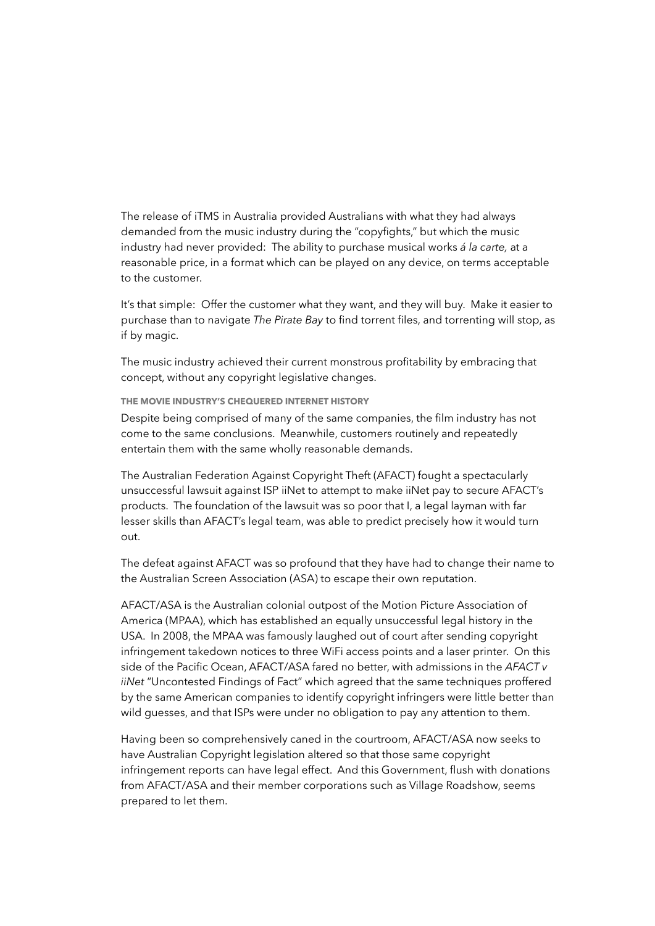The release of iTMS in Australia provided Australians with what they had always demanded from the music industry during the "copyfights," but which the music industry had never provided: The ability to purchase musical works *á la carte,* at a reasonable price, in a format which can be played on any device, on terms acceptable to the customer.

It's that simple: Offer the customer what they want, and they will buy. Make it easier to purchase than to navigate *The Pirate Bay* to find torrent files, and torrenting will stop, as if by magic.

The music industry achieved their current monstrous profitability by embracing that concept, without any copyright legislative changes.

**THE MOVIE INDUSTRY'S CHEQUERED INTERNET HISTORY** 

Despite being comprised of many of the same companies, the film industry has not come to the same conclusions. Meanwhile, customers routinely and repeatedly entertain them with the same wholly reasonable demands.

The Australian Federation Against Copyright Theft (AFACT) fought a spectacularly unsuccessful lawsuit against ISP iiNet to attempt to make iiNet pay to secure AFACT's products. The foundation of the lawsuit was so poor that I, a legal layman with far lesser skills than AFACT's legal team, was able to predict precisely how it would turn out.

The defeat against AFACT was so profound that they have had to change their name to the Australian Screen Association (ASA) to escape their own reputation.

AFACT/ASA is the Australian colonial outpost of the Motion Picture Association of America (MPAA), which has established an equally unsuccessful legal history in the USA. In 2008, the MPAA was famously laughed out of court after sending copyright infringement takedown notices to three WiFi access points and a laser printer. On this side of the Pacific Ocean, AFACT/ASA fared no better, with admissions in the *AFACT v iiNet* "Uncontested Findings of Fact" which agreed that the same techniques proffered by the same American companies to identify copyright infringers were little better than wild guesses, and that ISPs were under no obligation to pay any attention to them.

Having been so comprehensively caned in the courtroom, AFACT/ASA now seeks to have Australian Copyright legislation altered so that those same copyright infringement reports can have legal effect. And this Government, flush with donations from AFACT/ASA and their member corporations such as Village Roadshow, seems prepared to let them.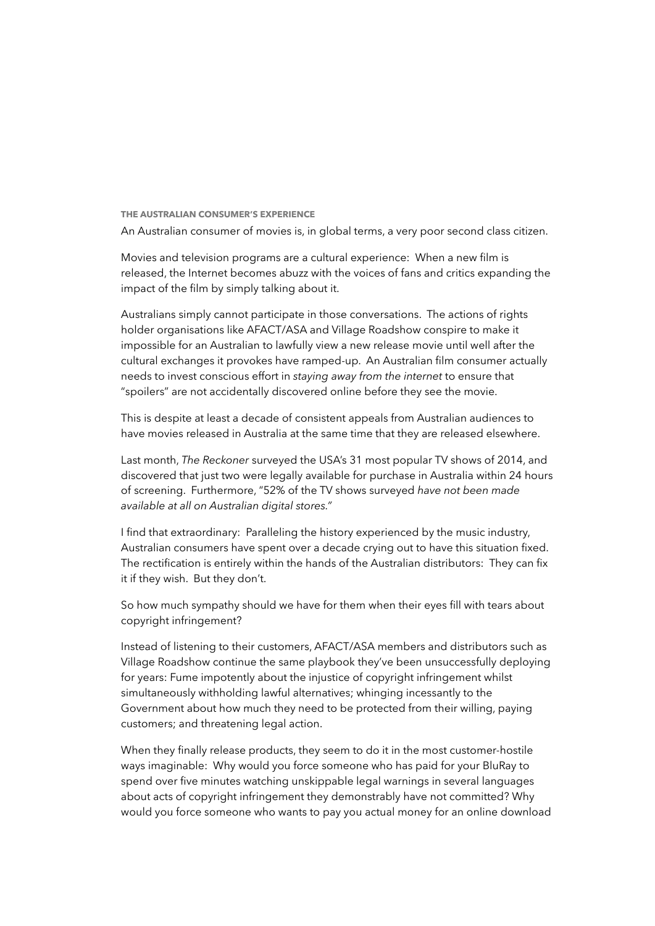**THE AUSTRALIAN CONSUMER'S EXPERIENCE**  An Australian consumer of movies is, in global terms, a very poor second class citizen.

Movies and television programs are a cultural experience: When a new film is released, the Internet becomes abuzz with the voices of fans and critics expanding the impact of the film by simply talking about it.

Australians simply cannot participate in those conversations. The actions of rights holder organisations like AFACT/ASA and Village Roadshow conspire to make it impossible for an Australian to lawfully view a new release movie until well after the cultural exchanges it provokes have ramped-up. An Australian film consumer actually needs to invest conscious effort in *staying away from the internet* to ensure that "spoilers" are not accidentally discovered online before they see the movie.

This is despite at least a decade of consistent appeals from Australian audiences to have movies released in Australia at the same time that they are released elsewhere.

Last month, *The Reckoner* surveyed the USA's 31 most popular TV shows of 2014, and discovered that just two were legally available for purchase in Australia within 24 hours of screening. Furthermore, "52% of the TV shows surveyed *have not been made available at all on Australian digital stores."*

I find that extraordinary: Paralleling the history experienced by the music industry, Australian consumers have spent over a decade crying out to have this situation fixed. The rectification is entirely within the hands of the Australian distributors: They can fix it if they wish. But they don't.

So how much sympathy should we have for them when their eyes fill with tears about copyright infringement?

Instead of listening to their customers, AFACT/ASA members and distributors such as Village Roadshow continue the same playbook they've been unsuccessfully deploying for years: Fume impotently about the injustice of copyright infringement whilst simultaneously withholding lawful alternatives; whinging incessantly to the Government about how much they need to be protected from their willing, paying customers; and threatening legal action.

When they finally release products, they seem to do it in the most customer-hostile ways imaginable: Why would you force someone who has paid for your BluRay to spend over five minutes watching unskippable legal warnings in several languages about acts of copyright infringement they demonstrably have not committed? Why would you force someone who wants to pay you actual money for an online download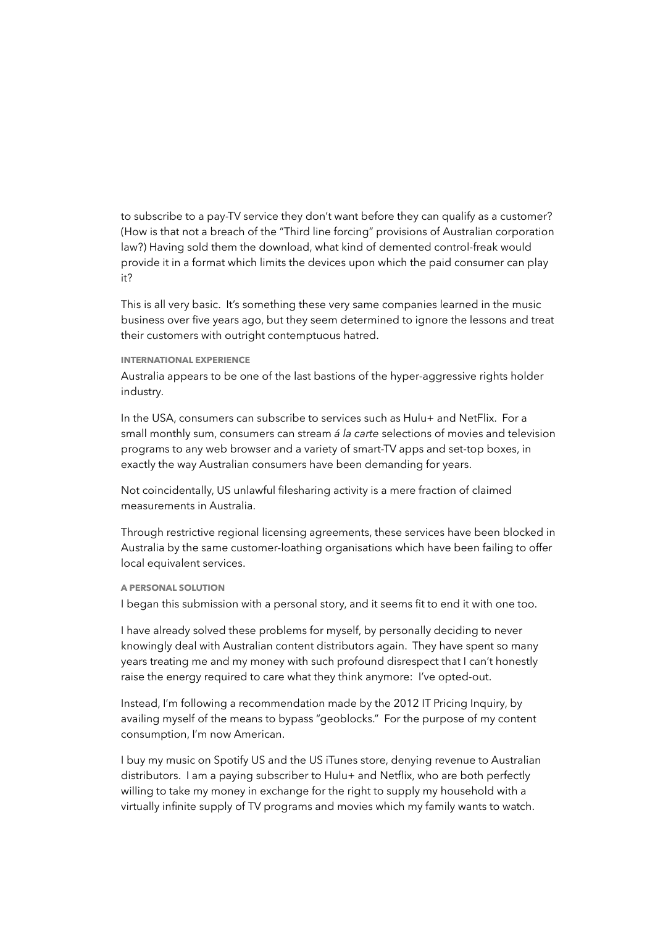to subscribe to a pay-TV service they don't want before they can qualify as a customer? (How is that not a breach of the "Third line forcing" provisions of Australian corporation law?) Having sold them the download, what kind of demented control-freak would provide it in a format which limits the devices upon which the paid consumer can play it?

This is all very basic. It's something these very same companies learned in the music business over five years ago, but they seem determined to ignore the lessons and treat their customers with outright contemptuous hatred.

## **INTERNATIONAL EXPERIENCE**

Australia appears to be one of the last bastions of the hyper-aggressive rights holder industry.

In the USA, consumers can subscribe to services such as Hulu+ and NetFlix. For a small monthly sum, consumers can stream *á la carte* selections of movies and television programs to any web browser and a variety of smart-TV apps and set-top boxes, in exactly the way Australian consumers have been demanding for years.

Not coincidentally, US unlawful filesharing activity is a mere fraction of claimed measurements in Australia.

Through restrictive regional licensing agreements, these services have been blocked in Australia by the same customer-loathing organisations which have been failing to offer local equivalent services.

## **A PERSONAL SOLUTION**

I began this submission with a personal story, and it seems fit to end it with one too.

I have already solved these problems for myself, by personally deciding to never knowingly deal with Australian content distributors again. They have spent so many years treating me and my money with such profound disrespect that I can't honestly raise the energy required to care what they think anymore: I've opted-out.

Instead, I'm following a recommendation made by the 2012 IT Pricing Inquiry, by availing myself of the means to bypass "geoblocks." For the purpose of my content consumption, I'm now American.

I buy my music on Spotify US and the US iTunes store, denying revenue to Australian distributors. I am a paying subscriber to Hulu+ and Netflix, who are both perfectly willing to take my money in exchange for the right to supply my household with a virtually infinite supply of TV programs and movies which my family wants to watch.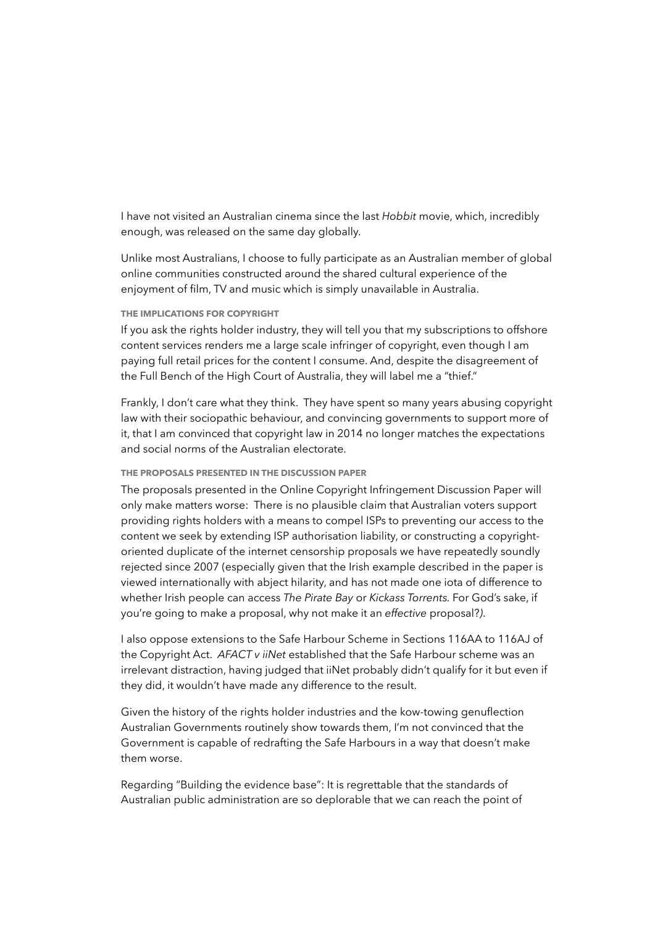I have not visited an Australian cinema since the last *Hobbit* movie, which, incredibly enough, was released on the same day globally.

Unlike most Australians, I choose to fully participate as an Australian member of global online communities constructed around the shared cultural experience of the enjoyment of film, TV and music which is simply unavailable in Australia.

# **THE IMPLICATIONS FOR COPYRIGHT**

If you ask the rights holder industry, they will tell you that my subscriptions to offshore content services renders me a large scale infringer of copyright, even though I am paying full retail prices for the content I consume. And, despite the disagreement of the Full Bench of the High Court of Australia, they will label me a "thief."

Frankly, I don't care what they think. They have spent so many years abusing copyright law with their sociopathic behaviour, and convincing governments to support more of it, that I am convinced that copyright law in 2014 no longer matches the expectations and social norms of the Australian electorate.

#### **THE PROPOSALS PRESENTED IN THE DISCUSSION PAPER**

The proposals presented in the Online Copyright Infringement Discussion Paper will only make matters worse: There is no plausible claim that Australian voters support providing rights holders with a means to compel ISPs to preventing our access to the content we seek by extending ISP authorisation liability, or constructing a copyrightoriented duplicate of the internet censorship proposals we have repeatedly soundly rejected since 2007 (especially given that the Irish example described in the paper is viewed internationally with abject hilarity, and has not made one iota of difference to whether Irish people can access *The Pirate Bay* or *Kickass Torrents.* For God's sake, if you're going to make a proposal, why not make it an *effective* proposal?*)*.

I also oppose extensions to the Safe Harbour Scheme in Sections 116AA to 116AJ of the Copyright Act. *AFACT v iiNet* established that the Safe Harbour scheme was an irrelevant distraction, having judged that iiNet probably didn't qualify for it but even if they did, it wouldn't have made any difference to the result.

Given the history of the rights holder industries and the kow-towing genuflection Australian Governments routinely show towards them, I'm not convinced that the Government is capable of redrafting the Safe Harbours in a way that doesn't make them worse.

Regarding "Building the evidence base": It is regrettable that the standards of Australian public administration are so deplorable that we can reach the point of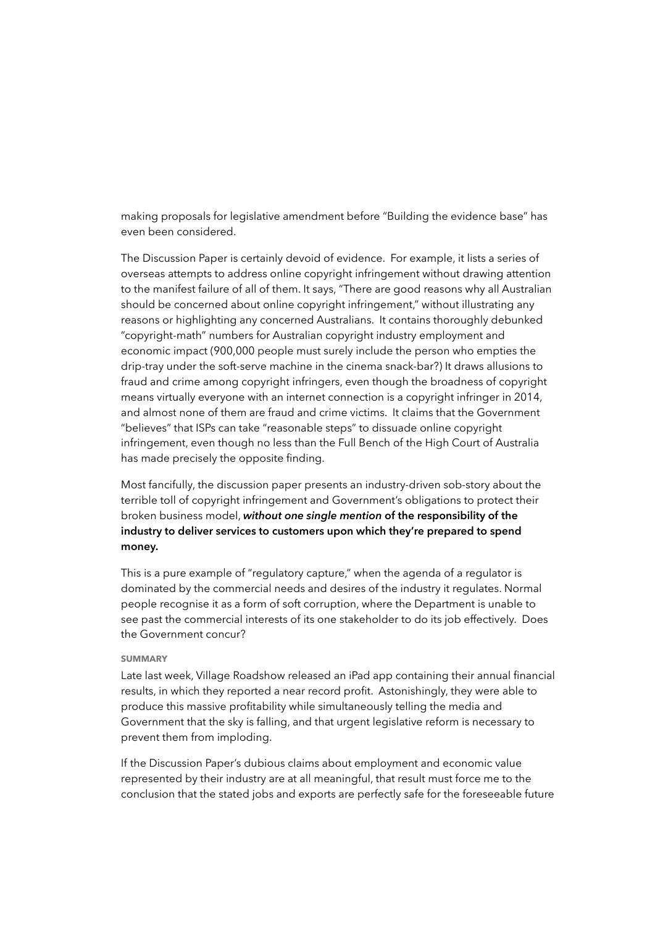making proposals for legislative amendment before "Building the evidence base" has even been considered.

The Discussion Paper is certainly devoid of evidence. For example, it lists a series of overseas attempts to address online copyright infringement without drawing attention to the manifest failure of all of them. It says, "There are good reasons why all Australian should be concerned about online copyright infringement," without illustrating any reasons or highlighting any concerned Australians. It contains thoroughly debunked "copyright-math" numbers for Australian copyright industry employment and economic impact (900,000 people must surely include the person who empties the drip-tray under the soft-serve machine in the cinema snack-bar?) It draws allusions to fraud and crime among copyright infringers, even though the broadness of copyright means virtually everyone with an internet connection is a copyright infringer in 2014, and almost none of them are fraud and crime victims. It claims that the Government "believes" that ISPs can take "reasonable steps" to dissuade online copyright infringement, even though no less than the Full Bench of the High Court of Australia has made precisely the opposite finding.

Most fancifully, the discussion paper presents an industry-driven sob-story about the terrible toll of copyright infringement and Government's obligations to protect their broken business model, *without one single mention* **of the responsibility of the industry to deliver services to customers upon which they're prepared to spend money.**

This is a pure example of "regulatory capture," when the agenda of a regulator is dominated by the commercial needs and desires of the industry it regulates. Normal people recognise it as a form of soft corruption, where the Department is unable to see past the commercial interests of its one stakeholder to do its job effectively. Does the Government concur?

## **SUMMARY**

Late last week, Village Roadshow released an iPad app containing their annual financial results, in which they reported a near record profit. Astonishingly, they were able to produce this massive profitability while simultaneously telling the media and Government that the sky is falling, and that urgent legislative reform is necessary to prevent them from imploding.

If the Discussion Paper's dubious claims about employment and economic value represented by their industry are at all meaningful, that result must force me to the conclusion that the stated jobs and exports are perfectly safe for the foreseeable future